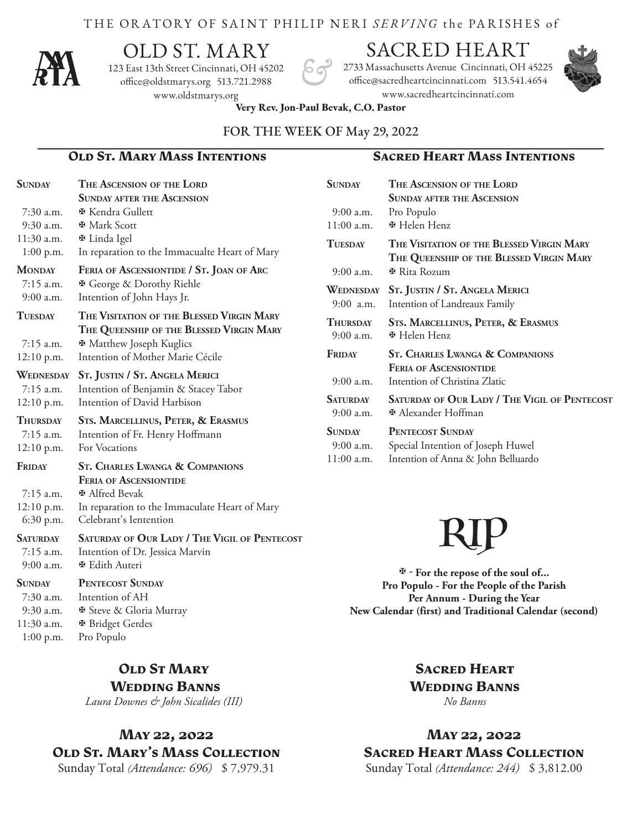#### THE ORATORY OF SAINT PHILIP NERI *SERVING* the PA R ISHES of



# OLD ST. MARY

123 East 13th Street Cincinnati, OH 45202 office@oldstmarys.org 513.721.2988 www.oldstmarys.org

## SACRED HEART

2733 Massachusetts Avenue Cincinnati, OH 45225 office@sacredheartcincinnati.com 513.541.4654 www.sacredheartcincinnati.com

**Sunday The Ascension of the Lord**



**Very Rev. Jon-Paul Bevak, C.O. Pastor** 

#### FOR THE WEEK OF May 29, 2022

#### **Old St. Mary Mass Intentions Sacred Heart Mass Intentions**

| <b>SUNDAY</b>    | THE ASCENSION OF THE LORD                                                             |
|------------------|---------------------------------------------------------------------------------------|
|                  | <b>SUNDAY AFTER THE ASCENSION</b>                                                     |
| 7:30 a.m.        | ⊕ Kendra Gullett                                                                      |
| 9:30 a.m.        | <b><math>\Phi</math></b> Mark Scott                                                   |
| $11:30$ a.m.     | ⊕ Linda Igel                                                                          |
| $1:00$ p.m.      | In reparation to the Immacualte Heart of Mary                                         |
| <b>MONDAY</b>    | FERIA OF ASCENSIONTIDE / ST. JOAN OF ARC                                              |
| 7:15 a.m.        | <b><math>\Phi</math> George &amp; Dorothy Riehle</b>                                  |
| $9:00$ a.m.      | Intention of John Hays Jr.                                                            |
| <b>TUESDAY</b>   | THE VISITATION OF THE BLESSED VIRGIN MARY<br>THE QUEENSHIP OF THE BLESSED VIRGIN MARY |
| $7:15$ a.m.      | <b><math>\Phi</math></b> Matthew Joseph Kuglics                                       |
| 12:10 p.m.       | Intention of Mother Marie Cécile                                                      |
| <b>WEDNESDAY</b> | St. JUSTIN / St. ANGELA MERICI                                                        |
| 7:15 a.m.        | Intention of Benjamin & Stacey Tabor                                                  |
| $12:10$ p.m.     | Intention of David Harbison                                                           |
| <b>THURSDAY</b>  | <b>STS. MARCELLINUS, PETER, &amp; ERASMUS</b>                                         |
| $7:15$ a.m.      | Intention of Fr. Henry Hoffmann                                                       |
| $12:10$ p.m.     | <b>For Vocations</b>                                                                  |
| <b>FRIDAY</b>    | <b>ST. CHARLES LWANGA &amp; COMPANIONS</b>                                            |
|                  | <b>FERIA OF ASCENSIONTIDE</b>                                                         |
| $7:15$ a.m.      | <b><math>\Phi</math></b> Alfred Bevak                                                 |
| $12:10$ p.m.     | In reparation to the Immaculate Heart of Mary                                         |
| 6:30 p.m.        | Celebrant's Ientention                                                                |
| <b>SATURDAY</b>  | <b>SATURDAY OF OUR LADY / THE VIGIL OF PENTECOST</b>                                  |
| $7:15$ a.m.      | Intention of Dr. Jessica Marvin                                                       |
| $9:00$ a.m.      | <b><math>\Phi</math> Edith Auteri</b>                                                 |
| <b>SUNDAY</b>    | PENTECOST SUNDAY                                                                      |
| 7:30 a.m.        | Intention of AH                                                                       |
| 9:30 a.m.        | <b><i>I</i></b> Steve & Gloria Murray                                                 |
| $11:30$ a.m.     | <b>※ Bridget Gerdes</b>                                                               |
| $1:00$ p.m.      | Pro Populo                                                                            |

#### **OLD ST MARY Wedding Banns**

*Laura Downes & John Sicalides (III)*

## **May 22, 2022 Old St. Mary's Mass Collection**

Sunday Total *(Attendance: 696)* \$ 7,979.31

|                 | <b>SUNDAY AFTER THE ASCENSION</b>                    |
|-----------------|------------------------------------------------------|
| $9:00$ a.m.     | Pro Populo                                           |
| $11:00$ a.m.    | <b>₩</b> Helen Henz                                  |
| <b>TUESDAY</b>  | THE VISITATION OF THE BLESSED VIRGIN MARY            |
|                 | THE QUEENSHIP OF THE BLESSED VIRGIN MARY             |
| $9:00$ a.m.     | ⊕ Rita Rozum                                         |
| WEDNESDAY       | St. JUSTIN / St. ANGELA MERICI                       |
| $9:00$ a.m.     | Intention of Landreaux Family                        |
| <b>THURSDAY</b> | <b>STS. MARCELLINUS, PETER, &amp; ERASMUS</b>        |
| $9:00$ a.m.     | ⊕ Helen Henz                                         |
| FRIDAY          | <b>ST. CHARLES LWANGA &amp; COMPANIONS</b>           |
|                 | <b>FERIA OF ASCENSIONTIDE</b>                        |
| $9:00$ a.m.     | Intention of Christina Zlatic                        |
| <b>SATURDAY</b> | <b>SATURDAY OF OUR LADY / THE VIGIL OF PENTECOST</b> |
| $9:00$ a.m.     | ⊕ Alexander Hoffman                                  |
| <b>SUNDAY</b>   | PENTECOST SUNDAY                                     |
| $9:00$ a.m.     | Special Intention of Joseph Huwel                    |
| 11:00 a.m.      | Intention of Anna & John Belluardo                   |



 **- For the repose of the soul of... Pro Populo - For the People of the Parish Per Annum - During the Year New Calendar (first) and Traditional Calendar (second)**

#### **Sacred Heart Wedding Banns** *No Banns*

**May 22, 2022 Sacred Heart Mass Collection** Sunday Total *(Attendance: 244)* \$ 3,812.00